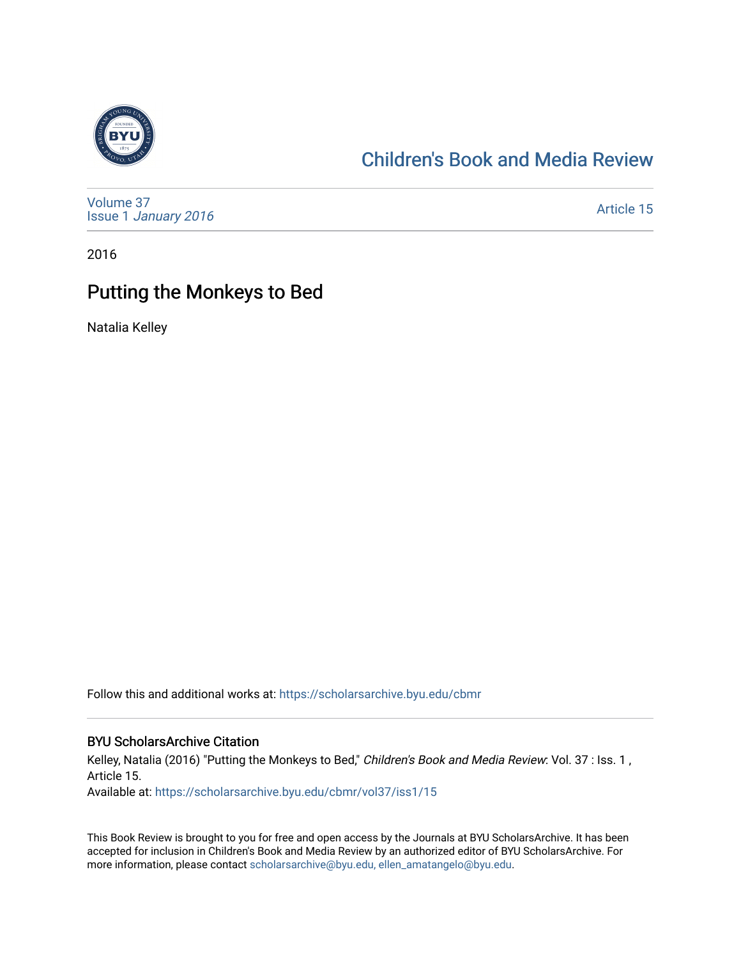

## [Children's Book and Media Review](https://scholarsarchive.byu.edu/cbmr)

[Volume 37](https://scholarsarchive.byu.edu/cbmr/vol37) Issue 1 [January 2016](https://scholarsarchive.byu.edu/cbmr/vol37/iss1)

[Article 15](https://scholarsarchive.byu.edu/cbmr/vol37/iss1/15) 

2016

## Putting the Monkeys to Bed

Natalia Kelley

Follow this and additional works at: [https://scholarsarchive.byu.edu/cbmr](https://scholarsarchive.byu.edu/cbmr?utm_source=scholarsarchive.byu.edu%2Fcbmr%2Fvol37%2Fiss1%2F15&utm_medium=PDF&utm_campaign=PDFCoverPages) 

## BYU ScholarsArchive Citation

Kelley, Natalia (2016) "Putting the Monkeys to Bed," Children's Book and Media Review: Vol. 37 : Iss. 1, Article 15.

Available at: [https://scholarsarchive.byu.edu/cbmr/vol37/iss1/15](https://scholarsarchive.byu.edu/cbmr/vol37/iss1/15?utm_source=scholarsarchive.byu.edu%2Fcbmr%2Fvol37%2Fiss1%2F15&utm_medium=PDF&utm_campaign=PDFCoverPages)

This Book Review is brought to you for free and open access by the Journals at BYU ScholarsArchive. It has been accepted for inclusion in Children's Book and Media Review by an authorized editor of BYU ScholarsArchive. For more information, please contact [scholarsarchive@byu.edu, ellen\\_amatangelo@byu.edu.](mailto:scholarsarchive@byu.edu,%20ellen_amatangelo@byu.edu)